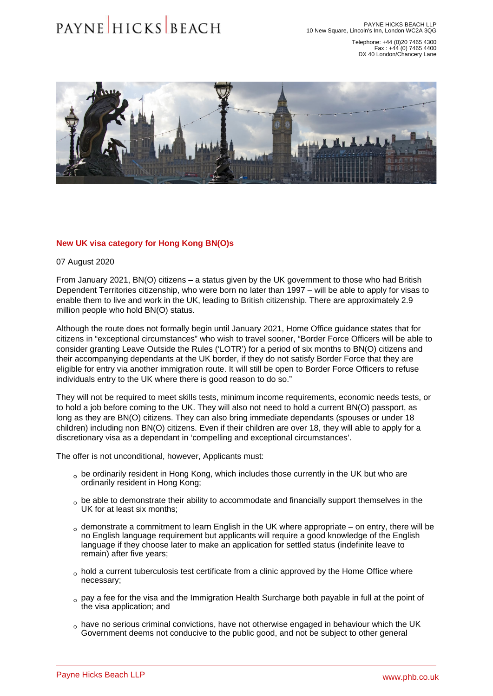Telephone: +44 (0)20 7465 4300 Fax : +44 (0) 7465 4400 DX 40 London/Chancery Lane

## New UK visa category for Hong Kong BN(O)s

07 August 2020

From January 2021, BN(O) citizens – a status given by the UK government to those who had British Dependent Territories citizenship, who were born no later than 1997 – will be able to apply for visas to enable them to live and work in the UK, leading to British citizenship. There are approximately 2.9 million people who hold BN(O) status.

Although the route does not formally begin until January 2021, Home Office guidance states that for citizens in "exceptional circumstances" who wish to travel sooner, "Border Force Officers will be able to consider granting Leave Outside the Rules ('LOTR') for a period of six months to BN(O) citizens and their accompanying dependants at the UK border, if they do not satisfy Border Force that they are eligible for entry via another immigration route. It will still be open to Border Force Officers to refuse individuals entry to the UK where there is good reason to do so."

They will not be required to meet skills tests, minimum income requirements, economic needs tests, or to hold a job before coming to the UK. They will also not need to hold a current BN(O) passport, as long as they are BN(O) citizens. They can also bring immediate dependants (spouses or under 18 children) including non BN(O) citizens. Even if their children are over 18, they will able to apply for a discretionary visa as a dependant in 'compelling and exceptional circumstances'.

The offer is not unconditional, however, Applicants must:

- $\alpha$  be ordinarily resident in Hong Kong, which includes those currently in the UK but who are ordinarily resident in Hong Kong;
- $\circ$  be able to demonstrate their ability to accommodate and financially support themselves in the UK for at least six months;
- $_{\circ}$  demonstrate a commitment to learn English in the UK where appropriate on entry, there will be no English language requirement but applicants will require a good knowledge of the English language if they choose later to make an application for settled status (indefinite leave to remain) after five years;
- $\circ$  hold a current tuberculosis test certificate from a clinic approved by the Home Office where necessary;
- $_{\circ}$  pay a fee for the visa and the Immigration Health Surcharge both payable in full at the point of the visa application; and
- $\alpha$  have no serious criminal convictions, have not otherwise engaged in behaviour which the UK Government deems not conducive to the public good, and not be subject to other general